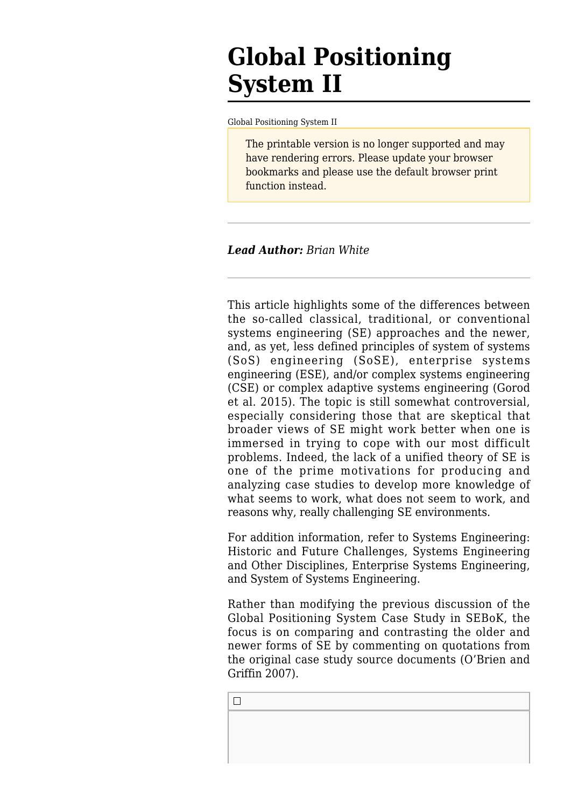# **Global Positioning System II**

[Global Positioning System II](http://sebokwiki.org/wiki/Global_Positioning_System_II)

The printable version is no longer supported and may have rendering errors. Please update your browser bookmarks and please use the default browser print function instead.

#### *Lead Author: Brian White*

This article highlights some of the differences between the so-called classical, traditional, or conventional [systems engineering](http://sebokwiki.org/wiki/Systems_Engineering) (SE) approaches and the newer, and, as yet, less defined principles of system of systems (SoS) engineering (SoSE), [enterprise systems](http://sebokwiki.org/wiki/Enterprise_Systems_Engineering) [engineering](http://sebokwiki.org/wiki/Enterprise_Systems_Engineering) (ESE), and/or complex systems engineering (CSE) or complex adaptive systems engineering (Gorod et al. 2015). The topic is still somewhat controversial, especially considering those that are skeptical that broader views of SE might work better when one is immersed in trying to cope with our most difficult problems. Indeed, the lack of a unified theory of SE is one of the prime motivations for producing and analyzing case studies to develop more knowledge of what seems to work, what does not seem to work, and reasons why, really challenging SE environments.

For addition information, refer to Systems Engineering: [Historic and Future Challenges,](http://sebokwiki.org/wiki/Systems_Engineering:_Historic_and_Future_Challenges) Systems Engineering and [Other Disciplines,](http://sebokwiki.org/wiki/Systems_Engineering_and_Other_Disciplines) [Enterprise Systems Engineering](http://sebokwiki.org/wiki/Enterprise_Systems_Engineering), and [System of Systems Engineering.](http://sebokwiki.org/wiki/Systems_of_Systems_(SoS))

Rather than modifying the previous discussion of the [Global Positioning System Case Study](http://sebokwiki.org/wiki/Global_Positioning_System_Case_Study) in SEBoK, the focus is on comparing and contrasting the older and newer forms of SE by commenting on quotations from the original case study source documents (O'Brien and Griffin 2007).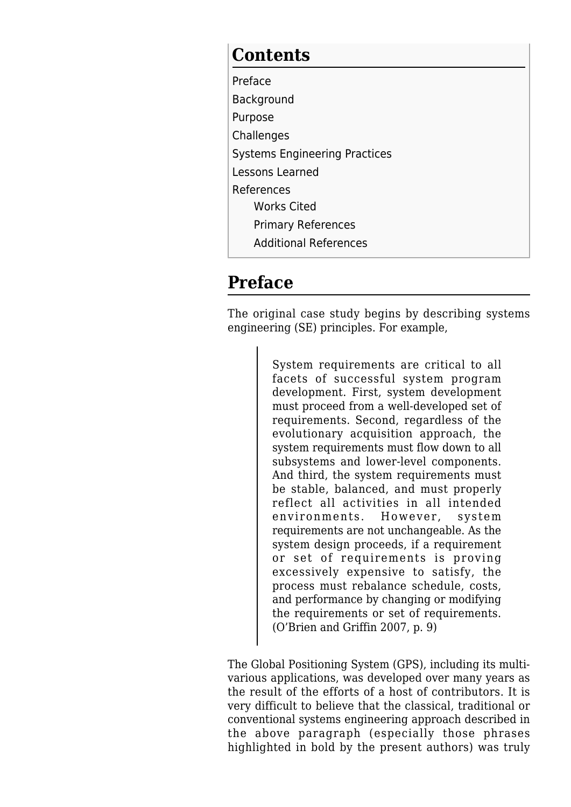### **Contents**

- [Preface](#page--1-0) [Background](#page--1-0) [Purpose](#page--1-0) **[Challenges](#page--1-0)** [Systems Engineering Practices](#page--1-0) [Lessons Learned](#page--1-0) [References](#page--1-0) [Works Cited](#page--1-0) [Primary References](#page--1-0)
	- [Additional References](#page--1-0)

## **Preface**

The original case study begins by describing systems engineering (SE) principles. For example,

> System requirements are critical to all facets of successful system program development. First, system development must proceed from a well-developed set of requirements. Second, regardless of the evolutionary acquisition approach, the system requirements must flow down to all subsystems and lower-level components. And third, the system requirements must be stable, balanced, and must properly reflect all activities in all intended environments. However, system requirements are not unchangeable. As the system design proceeds, if a requirement or set of requirements is proving excessively expensive to satisfy, the process must rebalance schedule, costs, and performance by changing or modifying the requirements or set of requirements. (O'Brien and Griffin 2007, p. 9)

The Global Positioning System (GPS), including its multivarious applications, was developed over many years as the result of the efforts of a host of contributors. It is very difficult to believe that the classical, traditional or conventional systems engineering approach described in the above paragraph (especially those phrases highlighted in bold by the present authors) was truly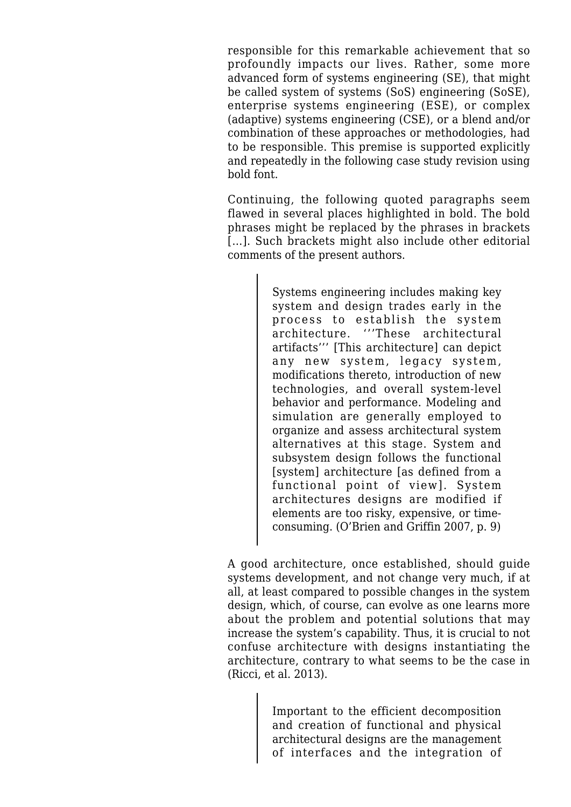responsible for this remarkable achievement that so profoundly impacts our lives. Rather, some more advanced form of systems engineering (SE), that might be called system of systems (SoS) engineering (SoSE), enterprise systems engineering (ESE), or complex (adaptive) systems engineering (CSE), or a blend and/or combination of these approaches or methodologies, had to be responsible. This premise is supported explicitly and repeatedly in the following case study revision using bold font.

Continuing, the following quoted paragraphs seem flawed in several places highlighted in bold. The bold phrases might be replaced by the phrases in brackets [...]. Such brackets might also include other editorial comments of the present authors.

> Systems engineering includes making key system and design trades early in the process to establish the system architecture. '''These architectural artifacts''' [This architecture] can depict any new system, legacy system, modifications thereto, introduction of new technologies, and overall system-level behavior and performance. Modeling and simulation are generally employed to organize and assess architectural system alternatives at this stage. System and subsystem design follows the functional [system] architecture [as defined from a functional point of view]. System architectures designs are modified if elements are too risky, expensive, or timeconsuming. (O'Brien and Griffin 2007, p. 9)

A good architecture, once established, should guide systems development, and not change very much, if at all, at least compared to possible changes in the system design, which, of course, can evolve as one learns more about the problem and potential solutions that may increase the system's capability. Thus, it is crucial to not confuse architecture with designs instantiating the architecture, contrary to what seems to be the case in (Ricci, et al. 2013).

> Important to the efficient decomposition and creation of functional and physical architectural designs are the management of interfaces and the integration of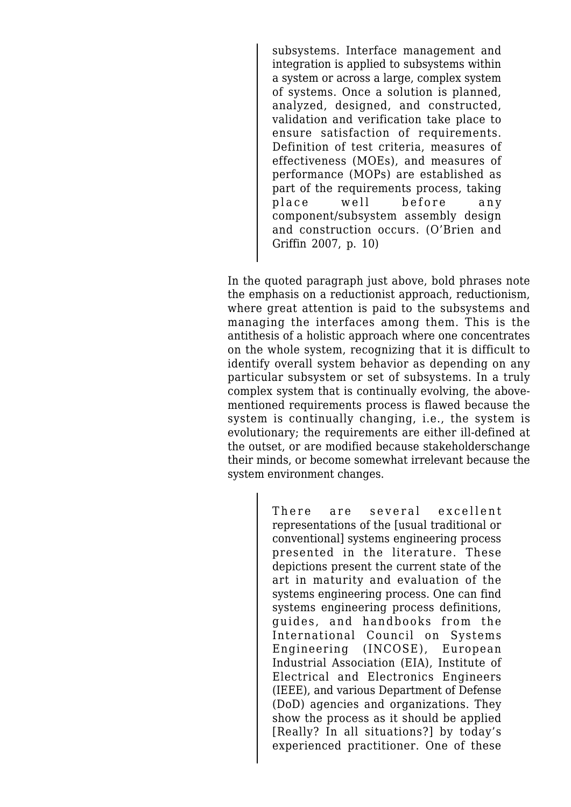subsystems. Interface management and integration is applied to subsystems within a system or across a large, complex system of systems. Once a solution is planned, analyzed, designed, and constructed, validation and verification take place to ensure satisfaction of requirements. Definition of test criteria, measures of effectiveness (MOEs), and measures of performance (MOPs) are established as part of the requirements process, taking place well before any component/subsystem assembly design and construction occurs. (O'Brien and Griffin 2007, p. 10)

In the quoted paragraph just above, bold phrases note the emphasis on a reductionist approach, reductionism, where great attention is paid to the subsystems and managing the interfaces among them. This is the antithesis of a holistic approach where one concentrates on the whole system, recognizing that it is difficult to identify overall system behavior as depending on any particular subsystem or set of subsystems. In a truly complex system that is continually evolving, the abovementioned requirements process is flawed because the system is continually changing, i.e., the system is evolutionary; the requirements are either ill-defined at the outset, or are modified because stakeholderschange their minds, or become somewhat irrelevant because the system environment changes.

> There are several excellent representations of the [usual traditional or conventional] systems engineering process presented in the literature. These depictions present the current state of the art in maturity and evaluation of the systems engineering process. One can find systems engineering process definitions, guides, and handbooks from the International Council on Systems Engineering (INCOSE), European Industrial Association (EIA), Institute of Electrical and Electronics Engineers (IEEE), and various Department of Defense (DoD) agencies and organizations. They show the process as it should be applied [Really? In all situations?] by today's experienced practitioner. One of these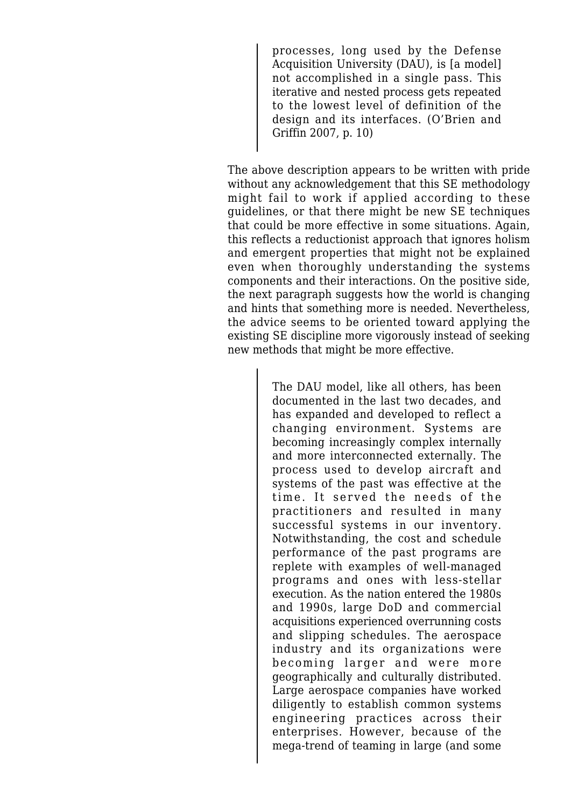processes, long used by the Defense Acquisition University (DAU), is [a model] not accomplished in a single pass. This iterative and nested process gets repeated to the lowest level of definition of the design and its interfaces. (O'Brien and Griffin 2007, p. 10)

The above description appears to be written with pride without any acknowledgement that this SE methodology might fail to work if applied according to these guidelines, or that there might be new SE techniques that could be more effective in some situations. Again, this reflects a reductionist approach that ignores holism and emergent properties that might not be explained even when thoroughly understanding the systems components and their interactions. On the positive side, the next paragraph suggests how the world is changing and hints that something more is needed. Nevertheless, the advice seems to be oriented toward applying the existing SE discipline more vigorously instead of seeking new methods that might be more effective.

> The DAU model, like all others, has been documented in the last two decades, and has expanded and developed to reflect a changing environment. Systems are becoming increasingly complex internally and more interconnected externally. The process used to develop aircraft and systems of the past was effective at the time. It served the needs of the practitioners and resulted in many successful systems in our inventory. Notwithstanding, the cost and schedule performance of the past programs are replete with examples of well-managed programs and ones with less-stellar execution. As the nation entered the 1980s and 1990s, large DoD and commercial acquisitions experienced overrunning costs and slipping schedules. The aerospace industry and its organizations were becoming larger and were more geographically and culturally distributed. Large aerospace companies have worked diligently to establish common systems engineering practices across their enterprises. However, because of the mega-trend of teaming in large (and some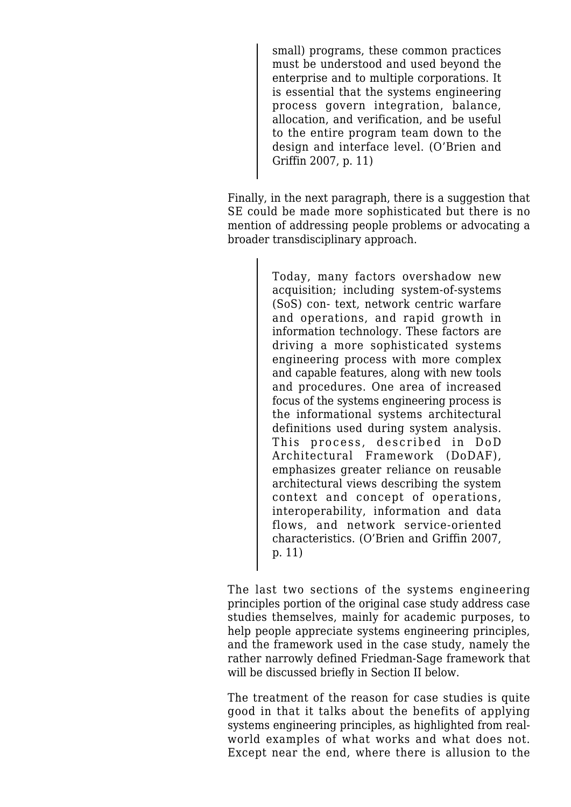small) programs, these common practices must be understood and used beyond the enterprise and to multiple corporations. It is essential that the systems engineering process govern integration, balance, allocation, and verification, and be useful to the entire program team down to the design and interface level. (O'Brien and Griffin 2007, p. 11)

Finally, in the next paragraph, there is a suggestion that SE could be made more sophisticated but there is no mention of addressing people problems or advocating a broader transdisciplinary approach.

> Today, many factors overshadow new acquisition; including system-of-systems (SoS) con- text, network centric warfare and operations, and rapid growth in information technology. These factors are driving a more sophisticated systems engineering process with more complex and capable features, along with new tools and procedures. One area of increased focus of the systems engineering process is the informational systems architectural definitions used during system analysis. This process, described in DoD Architectural Framework (DoDAF), emphasizes greater reliance on reusable architectural views describing the system context and concept of operations, interoperability, information and data flows, and network service-oriented characteristics. (O'Brien and Griffin 2007, p. 11)

The last two sections of the systems engineering principles portion of the original case study address case studies themselves, mainly for academic purposes, to help people appreciate systems engineering principles, and the framework used in the case study, namely the rather narrowly defined Friedman-Sage framework that will be discussed briefly in Section II below.

The treatment of the reason for case studies is quite good in that it talks about the benefits of applying systems engineering principles, as highlighted from realworld examples of what works and what does not. Except near the end, where there is allusion to the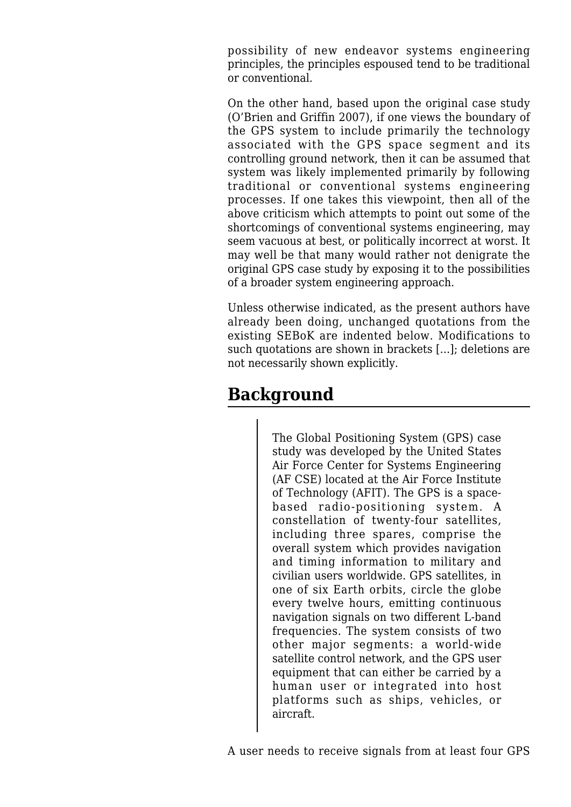possibility of new endeavor systems engineering principles, the principles espoused tend to be traditional or conventional.

On the other hand, based upon the original case study (O'Brien and Griffin 2007), if one views the boundary of the GPS system to include primarily the technology associated with the GPS space segment and its controlling ground network, then it can be assumed that system was likely implemented primarily by following traditional or conventional systems engineering processes. If one takes this viewpoint, then all of the above criticism which attempts to point out some of the shortcomings of conventional systems engineering, may seem vacuous at best, or politically incorrect at worst. It may well be that many would rather not denigrate the original GPS case study by exposing it to the possibilities of a broader system engineering approach.

Unless otherwise indicated, as the present authors have already been doing, unchanged quotations from the existing SEBoK are indented below. Modifications to such quotations are shown in brackets [...]; deletions are not necessarily shown explicitly.

# **Background**

The Global Positioning System (GPS) case study was developed by the United States Air Force Center for Systems Engineering (AF CSE) located at the Air Force Institute of Technology (AFIT). The GPS is a spacebased radio-positioning system. A constellation of twenty-four satellites, including three spares, comprise the overall system which provides navigation and timing information to military and civilian users worldwide. GPS satellites, in one of six Earth orbits, circle the globe every twelve hours, emitting continuous navigation signals on two different L-band frequencies. The system consists of two other major segments: a world-wide satellite control network, and the GPS user equipment that can either be carried by a human user or integrated into host platforms such as ships, vehicles, or aircraft.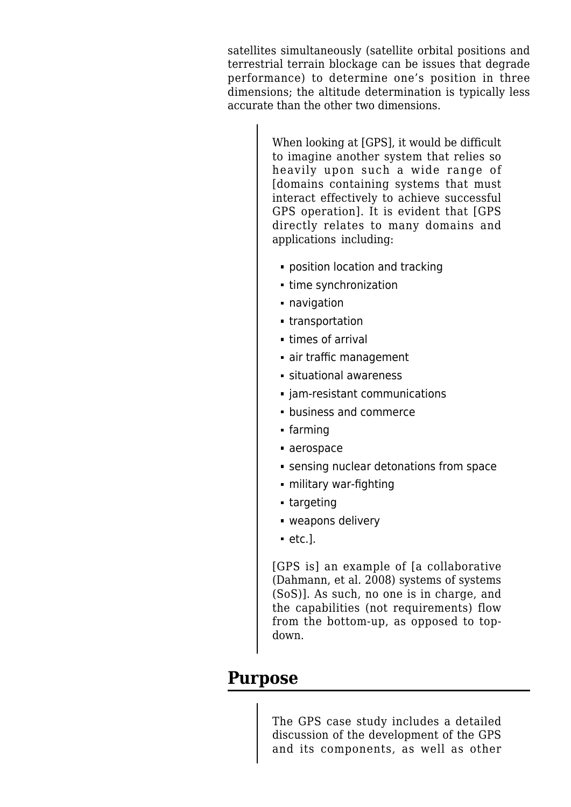satellites simultaneously (satellite orbital positions and terrestrial terrain blockage can be issues that degrade performance) to determine one's position in three dimensions; the altitude determination is typically less accurate than the other two dimensions.

> When looking at [GPS], it would be difficult to imagine another system that relies so heavily upon such a wide range of [domains containing systems that must interact effectively to achieve successful GPS operation]. It is evident that [GPS directly relates to many domains and applications including:

- **position location and tracking**
- time synchronization
- **navidation**
- transportation
- times of arrival
- air traffic management
- situational awareness
- jam-resistant communications
- business and commerce
- farming
- aerospace
- sensing nuclear detonations from space
- military war-fighting
- targeting
- weapons delivery
- $e$ tc.].

[GPS is] an example of [a collaborative (Dahmann, et al. 2008) systems of systems (SoS)]. As such, no one is in charge, and the capabilities (not requirements) flow from the bottom-up, as opposed to topdown.

#### **Purpose**

The GPS case study includes a detailed discussion of the development of the GPS and its components, as well as other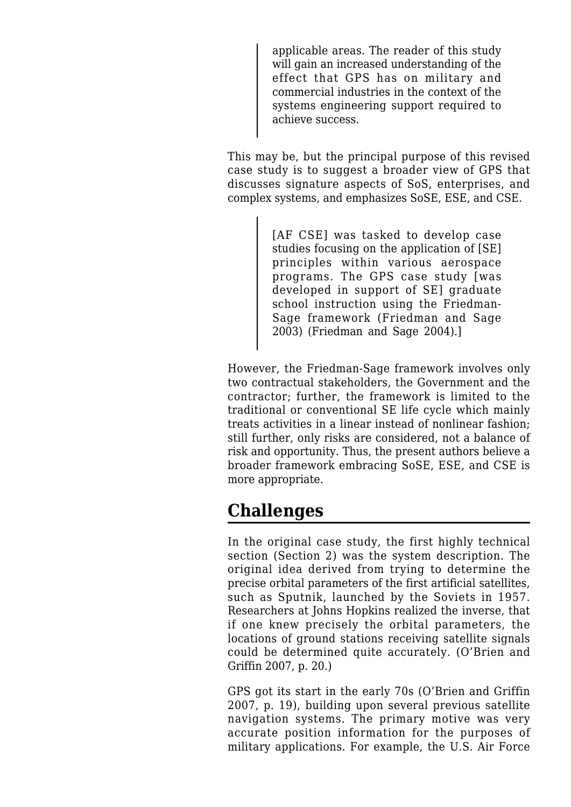applicable areas. The reader of this study will gain an increased understanding of the effect that GPS has on military and commercial industries in the context of the systems engineering support required to achieve success.

This may be, but the principal purpose of this revised case study is to suggest a broader view of GPS that discusses signature aspects of SoS, enterprises, and complex systems, and emphasizes SoSE, ESE, and CSE.

> [AF CSE] was tasked to develop case studies focusing on the application of [SE] principles within various aerospace programs. The GPS case study [was developed in support of SE] graduate school instruction using the Friedman-Sage framework (Friedman and Sage 2003) (Friedman and Sage 2004).]

However, the Friedman-Sage framework involves only two contractual stakeholders, the Government and the contractor; further, the framework is limited to the traditional or conventional SE life cycle which mainly treats activities in a linear instead of nonlinear fashion; still further, only risks are considered, not a balance of risk and opportunity. Thus, the present authors believe a broader framework embracing SoSE, ESE, and CSE is more appropriate.

### **Challenges**

In the original case study, the first highly technical section (Section 2) was the system description. The original idea derived from trying to determine the precise orbital parameters of the first artificial satellites, such as Sputnik, launched by the Soviets in 1957. Researchers at Johns Hopkins realized the inverse, that if one knew precisely the orbital parameters, the locations of ground stations receiving satellite signals could be determined quite accurately. (O'Brien and Griffin 2007, p. 20.)

GPS got its start in the early 70s (O'Brien and Griffin 2007, p. 19), building upon several previous satellite navigation systems. The primary motive was very accurate position information for the purposes of military applications. For example, the U.S. Air Force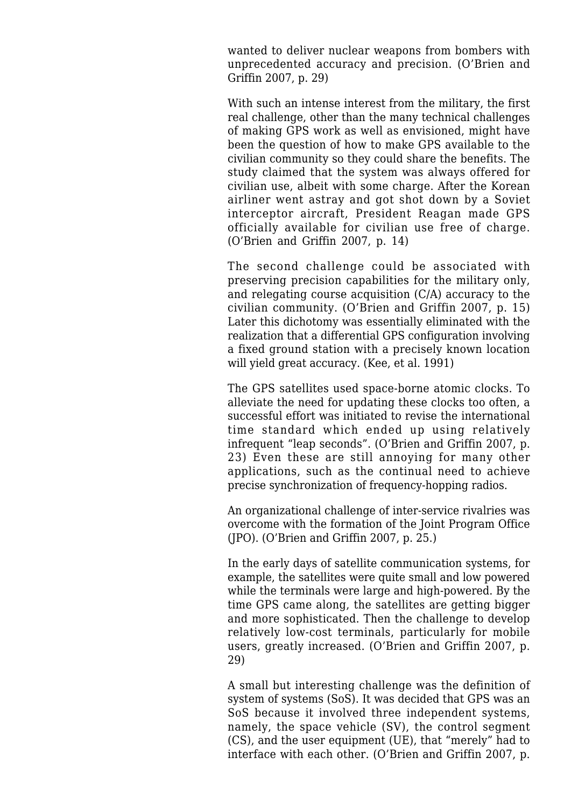wanted to deliver nuclear weapons from bombers with unprecedented accuracy and precision. (O'Brien and Griffin 2007, p. 29)

With such an intense interest from the military, the first real challenge, other than the many technical challenges of making GPS work as well as envisioned, might have been the question of how to make GPS available to the civilian community so they could share the benefits. The study claimed that the system was always offered for civilian use, albeit with some charge. After the Korean airliner went astray and got shot down by a Soviet interceptor aircraft, President Reagan made GPS officially available for civilian use free of charge. (O'Brien and Griffin 2007, p. 14)

The second challenge could be associated with preserving precision capabilities for the military only, and relegating course acquisition (C/A) accuracy to the civilian community. (O'Brien and Griffin 2007, p. 15) Later this dichotomy was essentially eliminated with the realization that a differential GPS configuration involving a fixed ground station with a precisely known location will yield great accuracy. (Kee, et al. 1991)

The GPS satellites used space-borne atomic clocks. To alleviate the need for updating these clocks too often, a successful effort was initiated to revise the international time standard which ended up using relatively infrequent "leap seconds". (O'Brien and Griffin 2007, p. 23) Even these are still annoying for many other applications, such as the continual need to achieve precise synchronization of frequency-hopping radios.

An organizational challenge of inter-service rivalries was overcome with the formation of the Joint Program Office (JPO). (O'Brien and Griffin 2007, p. 25.)

In the early days of satellite communication systems, for example, the satellites were quite small and low powered while the terminals were large and high-powered. By the time GPS came along, the satellites are getting bigger and more sophisticated. Then the challenge to develop relatively low-cost terminals, particularly for mobile users, greatly increased. (O'Brien and Griffin 2007, p. 29)

A small but interesting challenge was the definition of system of systems (SoS). It was decided that GPS was an SoS because it involved three independent systems, namely, the space vehicle (SV), the control segment (CS), and the user equipment (UE), that "merely" had to interface with each other. (O'Brien and Griffin 2007, p.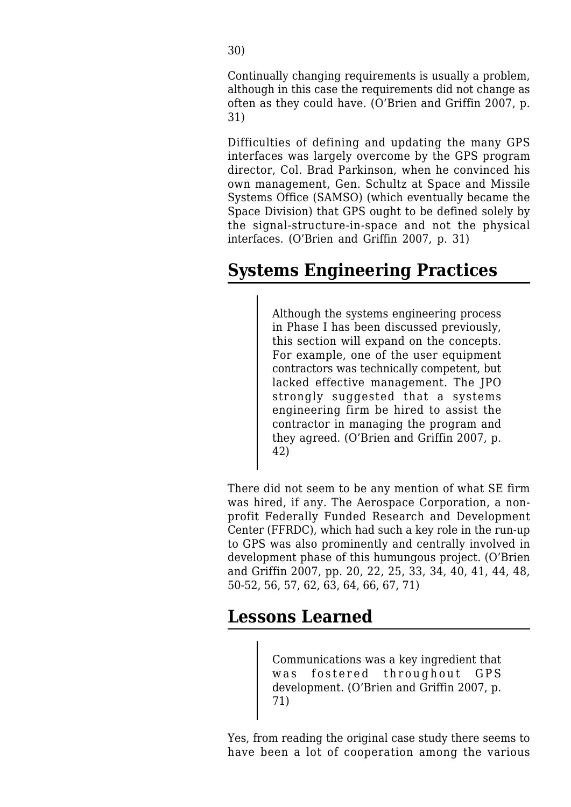Continually changing requirements is usually a problem, although in this case the requirements did not change as often as they could have. (O'Brien and Griffin 2007, p. 31)

Difficulties of defining and updating the many GPS interfaces was largely overcome by the GPS program director, Col. Brad Parkinson, when he convinced his own management, Gen. Schultz at Space and Missile Systems Office (SAMSO) (which eventually became the Space Division) that GPS ought to be defined solely by the signal-structure-in-space and not the physical interfaces. (O'Brien and Griffin 2007, p. 31)

# **Systems Engineering Practices**

Although the systems engineering process in Phase I has been discussed previously, this section will expand on the concepts. For example, one of the user equipment contractors was technically competent, but lacked effective management. The JPO strongly suggested that a systems engineering firm be hired to assist the contractor in managing the program and they agreed. (O'Brien and Griffin 2007, p. 42)

There did not seem to be any mention of what SE firm was hired, if any. The Aerospace Corporation, a nonprofit Federally Funded Research and Development Center (FFRDC), which had such a key role in the run-up to GPS was also prominently and centrally involved in development phase of this humungous project. (O'Brien and Griffin 2007, pp. 20, 22, 25, 33, 34, 40, 41, 44, 48, 50-52, 56, 57, 62, 63, 64, 66, 67, 71)

### **Lessons Learned**

Communications was a key ingredient that was fostered throughout GPS development. (O'Brien and Griffin 2007, p. 71)

Yes, from reading the original case study there seems to have been a lot of cooperation among the various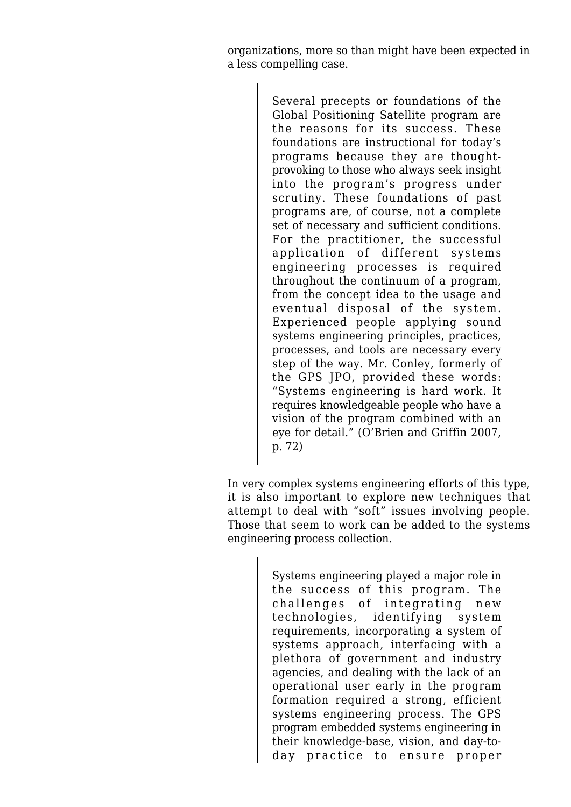organizations, more so than might have been expected in a less compelling case.

> Several precepts or foundations of the Global Positioning Satellite program are the reasons for its success. These foundations are instructional for today's programs because they are thoughtprovoking to those who always seek insight into the program's progress under scrutiny. These foundations of past programs are, of course, not a complete set of necessary and sufficient conditions. For the practitioner, the successful application of different systems engineering processes is required throughout the continuum of a program, from the concept idea to the usage and eventual disposal of the system. Experienced people applying sound systems engineering principles, practices, processes, and tools are necessary every step of the way. Mr. Conley, formerly of the GPS JPO, provided these words: "Systems engineering is hard work. It requires knowledgeable people who have a vision of the program combined with an eye for detail." (O'Brien and Griffin 2007, p. 72)

In very complex systems engineering efforts of this type, it is also important to explore new techniques that attempt to deal with "soft" issues involving people. Those that seem to work can be added to the systems engineering process collection.

> Systems engineering played a major role in the success of this program. The challenges of integrating new technologies, identifying system requirements, incorporating a system of systems approach, interfacing with a plethora of government and industry agencies, and dealing with the lack of an operational user early in the program formation required a strong, efficient systems engineering process. The GPS program embedded systems engineering in their knowledge-base, vision, and day-today practice to ensure proper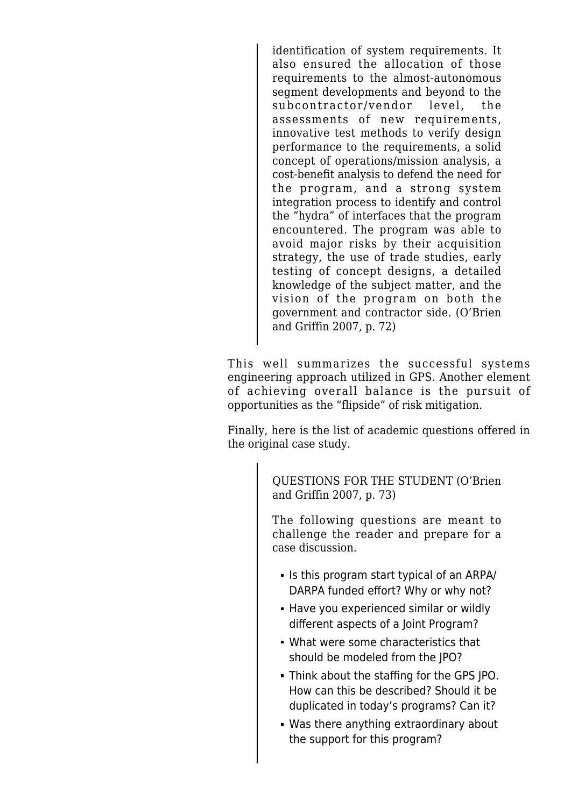identification of system requirements. It also ensured the allocation of those requirements to the almost-autonomous segment developments and beyond to the subcontractor/vendor level, the assessments of new requirements, innovative test methods to verify design performance to the requirements, a solid concept of operations/mission analysis, a cost-benefit analysis to defend the need for the program, and a strong system integration process to identify and control the "hydra" of interfaces that the program encountered. The program was able to avoid major risks by their acquisition strategy, the use of trade studies, early testing of concept designs, a detailed knowledge of the subject matter, and the vision of the program on both the government and contractor side. (O'Brien and Griffin 2007, p. 72)

This well summarizes the successful systems engineering approach utilized in GPS. Another element of achieving overall balance is the pursuit of opportunities as the "flipside" of risk mitigation.

Finally, here is the list of academic questions offered in the original case study.

> QUESTIONS FOR THE STUDENT (O'Brien and Griffin 2007, p. 73)

> The following questions are meant to challenge the reader and prepare for a case discussion.

- If Is this program start typical of an ARPA/ DARPA funded effort? Why or why not?
- Have you experienced similar or wildly different aspects of a Joint Program?
- What were some characteristics that should be modeled from the JPO?
- Think about the staffing for the GPS JPO. How can this be described? Should it be duplicated in today's programs? Can it?
- Was there anything extraordinary about the support for this program?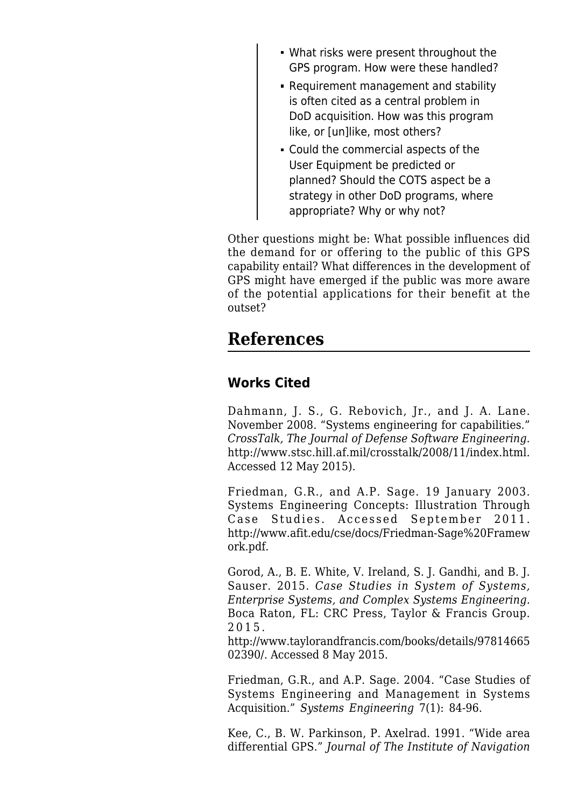- What risks were present throughout the GPS program. How were these handled?
- Requirement management and stability is often cited as a central problem in DoD acquisition. How was this program like, or [un]like, most others?
- Could the commercial aspects of the User Equipment be predicted or planned? Should the COTS aspect be a strategy in other DoD programs, where appropriate? Why or why not?

Other questions might be: What possible influences did the demand for or offering to the public of this GPS capability entail? What differences in the development of GPS might have emerged if the public was more aware of the potential applications for their benefit at the outset?

### **References**

#### **Works Cited**

Dahmann, J. S., G. Rebovich, Jr., and J. A. Lane. November 2008. "Systems engineering for capabilities." *CrossTalk, The Journal of Defense Software Engineering.* <http://www.stsc.hill.af.mil/crosstalk/2008/11/index.html>. Accessed 12 May 2015).

Friedman, G.R., and A.P. Sage. 19 January 2003. Systems Engineering Concepts: Illustration Through Case Studies. Accessed September 2011. [http://www.afit.edu/cse/docs/Friedman-Sage%20Framew](http://www.afit.edu/cse/docs/Friedman-Sage%20Framework.pdf) [ork.pdf.](http://www.afit.edu/cse/docs/Friedman-Sage%20Framework.pdf)

Gorod, A., B. E. White, V. Ireland, S. J. Gandhi, and B. J. Sauser. 2015. *Case Studies in System of Systems, Enterprise Systems, and Complex Systems Engineering.* Boca Raton, FL: CRC Press, Taylor & Francis Group. 2015.

[http://www.taylorandfrancis.com/books/details/97814665](http://www.taylorandfrancis.com/books/details/9781466502390/) [02390/](http://www.taylorandfrancis.com/books/details/9781466502390/). Accessed 8 May 2015.

Friedman, G.R., and A.P. Sage. 2004. "Case Studies of Systems Engineering and Management in Systems Acquisition." *Systems Engineering* 7(1): 84-96.

Kee, C., B. W. Parkinson, P. Axelrad. 1991. "Wide area differential GPS." *Journal of The Institute of Navigation*